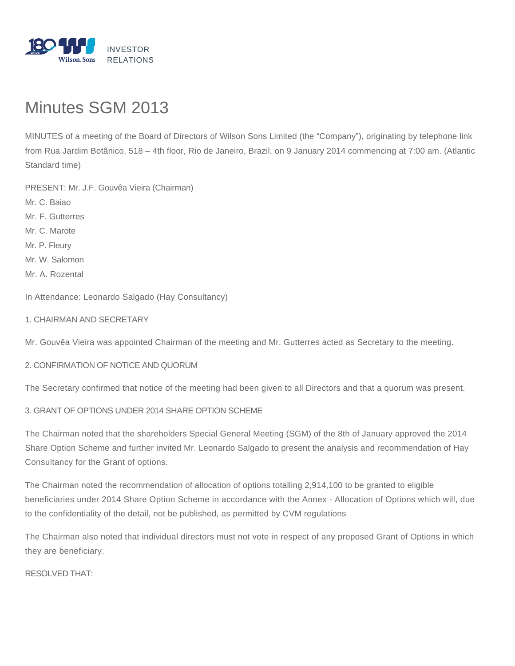

## Minutes SGM 2013

MINUTES of a meeting of the Board of Directors of Wilson Sons Limited (the "Company"), originating by telephone link from Rua Jardim Botânico, 518 – 4th floor, Rio de Janeiro, Brazil, on 9 January 2014 commencing at 7:00 am. (Atlantic Standard time)

PRESENT: Mr. J.F. Gouvêa Vieira (Chairman) Mr. C. Baiao Mr. F. Gutterres Mr. C. Marote Mr. P. Fleury Mr. W. Salomon Mr. A. Rozental

In Attendance: Leonardo Salgado (Hay Consultancy)

1. CHAIRMAN AND SECRETARY

Mr. Gouvêa Vieira was appointed Chairman of the meeting and Mr. Gutterres acted as Secretary to the meeting.

## 2. CONFIRMATION OF NOTICE AND QUORUM

The Secretary confirmed that notice of the meeting had been given to all Directors and that a quorum was present.

3. GRANT OF OPTIONS UNDER 2014 SHARE OPTION SCHEME

The Chairman noted that the shareholders Special General Meeting (SGM) of the 8th of January approved the 2014 Share Option Scheme and further invited Mr. Leonardo Salgado to present the analysis and recommendation of Hay Consultancy for the Grant of options.

The Chairman noted the recommendation of allocation of options totalling 2,914,100 to be granted to eligible beneficiaries under 2014 Share Option Scheme in accordance with the Annex - Allocation of Options which will, due to the confidentiality of the detail, not be published, as permitted by CVM regulations

The Chairman also noted that individual directors must not vote in respect of any proposed Grant of Options in which they are beneficiary.

RESOLVED THAT: